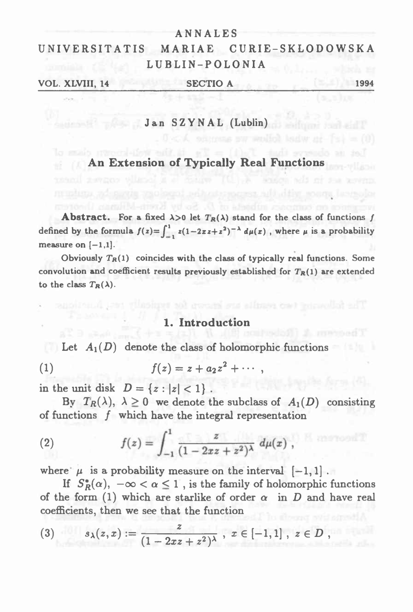#### ANNALES

## UNIVERSITATIS MARIAE CURIE-SKLODOWSKA LUBLIN-POLONIA

| VOL. XLVIII, 14 | <b>SECTIO A</b> | 1994 |
|-----------------|-----------------|------|
|                 |                 |      |

Jan SZYNAL (Lublin)

# **An Extension of Typically Real Functions**

**Abstract.** For a fixed  $\lambda > 0$  let  $T_R(\lambda)$  stand for the class of functions *f* defined by the formula  $f(z) = \int_{z_1}^{1} z(1-2zz+z^2)^{-\lambda} d\mu(z)$ , where  $\mu$  is a probability measure on  $[-1,1]$ .

Obviously  $T_R(1)$  coincides with the class of typically real functions. Some convolution and coefficient results previously established for  $T_R(1)$  are extended to the class  $T_R(\lambda)$ .

**1. Introduction**

 $\blacksquare$  Let  $A_1(D)$  denote the class of holomorphic functions

$$
(1) \hspace{1cm} f(z) = z + a_2 z^2 + \cdots,
$$

in the unit disk  $D = \{z : |z| < 1\}$ .

By  $T_R(\lambda)$ ,  $\lambda \geq 0$  we denote the subclass of  $A_1(D)$  consisting of functions *<sup>f</sup>* which have the integral representation

(2) 
$$
f(z) = \int_{-1}^{1} \frac{z}{(1 - 2xz + z^2)^{\lambda}} d\mu(x),
$$
  
where  $\mu$  is a probability measure on the interval [-1, 1].

If  $S_R^*(\alpha)$ ,  $-\infty < \alpha \leq 1$ , is the family of holomorphic functions of the form (1) which are starlike of order  $\alpha$  in *D* and have real coefficients, then we see that the function

(3) 
$$
s_{\lambda}(z,x) := \frac{z}{(1-2xz+z^2)^{\lambda}}, \ x \in [-1,1], \ z \in D
$$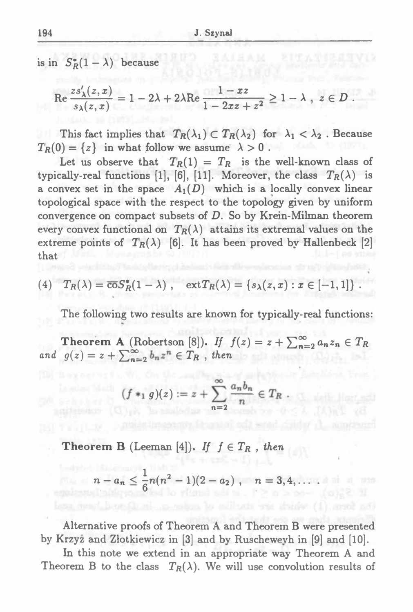is in  $S_R^*(1 - \lambda)$  because

$$
\operatorname{Re} \frac{zs'_{\lambda}(z, x)}{s_{\lambda}(z, x)} = 1 - 2\lambda + 2\lambda \operatorname{Re} \frac{1 - xz}{1 - 2xz + z^2} \ge 1 - \lambda , \ z \in D .
$$

This fact implies that  $T_R(\lambda_1) \subset T_R(\lambda_2)$  for  $\lambda_1 < \lambda_2$ . Because This fact implies that  $T_R(\lambda_1) \subset T_R(\lambda_2)$  for  $T_R(0) = \{z\}$  in what follow we assume  $\lambda > 0$ .  $T_R(0) = \{z\}$  in what follow we assume  $\lambda > 0$ .<br>Let us observe that  $T_R(1) = T_R$  is the well-known class of

Let us observe that  $T_R(1) = T_R$  is the well-known class of<br>typically-real functions [1], [6], [11]. Moreover, the class  $T_R(\lambda)$  is Let us observe that  $I_R(1) = I_R$  is the wen-known class of<br>typically-real functions [1], [6], [11]. Moreover, the class  $T_R(\lambda)$  is<br>a convex set in the space  $A_1(D)$  which is a locally convex linear<br>topological gases with th a convex set in the space  $A_1(D)$  which is a locally convex linear topological space with the respect to the topology given by uniform convergence on compact subsets of *D.* So by Krein-Milman theorem convergence on compact subsets of D. So by Krein-Milman theorem<br>every convex functional on  $T_R(\lambda)$  attains its extremal values on the every convex functional on  $T_R(\lambda)$  attains its extremal values on the extreme points of  $T_R(\lambda)$  [6]. It has been proved by Hallenbeck [2] that

that  
(4) 
$$
T_R(\lambda) = \overline{\cos}^*_R(1-\lambda)
$$
,  $\operatorname{ext}T_R(\lambda) = \{s_\lambda(z,x) : x \in [-1,1]\}$ .

The following two results are known for typically-real functions:

**Theorem A** (Robertson [8]). If  $f(z) = z + \sum_{n=2}^{\infty} a_n z_n \in T_R$  $a \cdot a \cdot f(x) = z + \sum_{n=2}^{\infty} b_n z^n \in T_R$ , then

$$
(f *_{1} g)(z) := z + \sum_{n=2}^{\infty} \frac{a_{n}b_{n}}{n} \in T_{R}
$$

**Theorem <b>B** (Leeman [4]). If  $f \in T_R$ , then

rem B (Leeman [4]). If 
$$
f \in T_R
$$
, then  
\n $n - a_n \le \frac{1}{6}n(n^2 - 1)(2 - a_2)$ ,  $n = 3, 4, ...$ 

*t*

Alternative proofs of Theorem <sup>A</sup> and Theorem <sup>B</sup> were presented by Krzyz and Zlotkiewicz in [3] and by Ruschewevh in [9] and [10].

In this note we extend in an appropriate way Theorem A and Theorem B to the class  $T_R(\lambda)$ . We will use convolution results of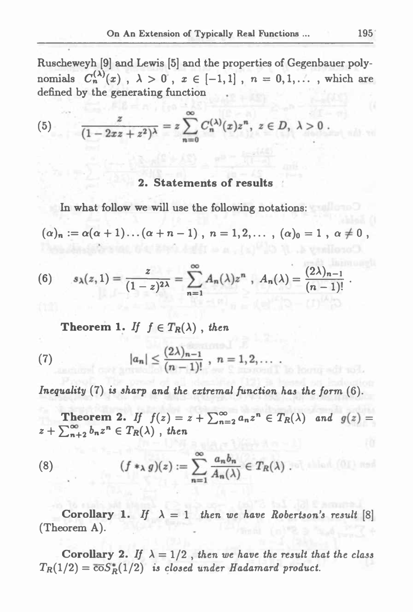Ruscheweyh [9] and Lewis [5] and the properties of Gegenbauer polynomials  $C_n^{(\lambda)}(x)$ ,  $\lambda > 0$ ,  $x \in [-1,1]$ ,  $n = 0,1,...$ , which are defined by the generating function  $.01 - 0.01$ 

(5) 
$$
\frac{z}{(1-2xz+z^2)^{\lambda}}=z\sum_{n=0}^{\infty}C_n^{(\lambda)}(x)z^n, z\in D, \lambda>0
$$

#### **2. Statements of results**

In what follow we will use the following notations:

 $(\alpha)_n := \alpha(\alpha + 1)...(\alpha + n - 1)$ ,  $n = 1, 2,...$ ,  $(\alpha)_0 = 1$ ,  $\alpha \neq 0$ ,

(6) 
$$
s_{\lambda}(z,1) = \frac{z}{(1-z)^{2\lambda}} = \sum_{n=1}^{\infty} A_n(\lambda) z^n
$$
,  $A_n(\lambda) = \frac{(2\lambda)_{n-1}}{(n-1)!}$ .

**Theorem 1.** If  $f \in T_R(\lambda)$ , then

(7) 
$$
|a_n| \leq \frac{(2\lambda)_{n-1}}{(n-1)!}, \quad n = 1, 2, ...
$$

Inequality  $(7)$  is sharp and the extremal function has the form  $(6)$ .

uality (7) is sharp and the extremal function has the form (6).<br>
Theorem 2. If  $f(z) = z + \sum_{n=2}^{\infty} a_n z^n \in T_R(\lambda)$  and  $g(z) = \sum_{n=2}^{\infty} b_n z^n \in T_R(\lambda)$ , then  $z + \sum_{n+2}^{\infty} b_n z^n \in T_R(\lambda)$ , *then* 

(8) 
$$
(f *_{\lambda} g)(z) := \sum_{n=1}^{\infty} \frac{a_n b_n}{A_n(\lambda)} \in T_R(\lambda)
$$

Corollary 1. If  $\lambda = 1$  then we have Robertson's result [8] (Theorem A).

**Corollary 2.** If  $\lambda = 1/2$ , then we have the result that the class  $T_R(1/2) = \overline{\cos}S_R(1/2)$  is closed under Hadamard product.

and will ve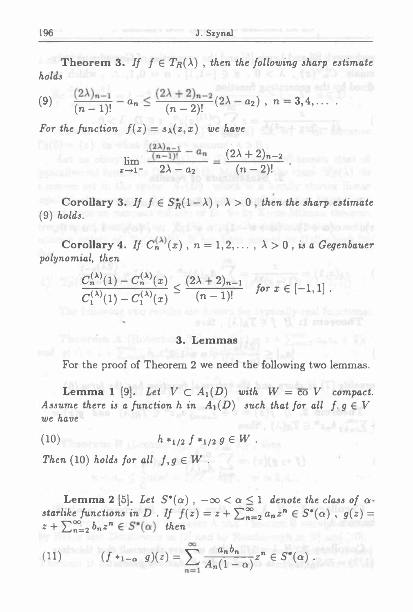**Theorem 3.** If  $f \in T_R(\lambda)$ , then the following sharp estimate

holds  
\n(9) 
$$
\frac{(2\lambda)_{n-1}}{(n-1)!} - a_n \leq \frac{(2\lambda+2)_{n-2}}{(n-2)!} (2\lambda - a_2), \quad n = 3, 4, \ldots
$$
\nFor the function  $f(z) = s_{\lambda}(z, x)$  we have

$$
f(z) = s_{\lambda}(z, x) \quad we \quad have
$$

$$
\lim_{z \to 1^{-}} \frac{\frac{(2\lambda)_{n-1}}{(n-1)!} - a_n}{2\lambda - a_2} = \frac{(2\lambda + 2)_{n-2}}{(n-2)!}
$$

Corollary 3. If  $f \in S_R^*(1-\lambda)$ ,  $\lambda > 0$ , then the sharp estimate **(9)** *holds.*

Corollary 4. If  $C_n^{(\lambda)}(x)$ ,  $n = 1, 2, \ldots, \lambda > 0$ , is a Gegenbauer *polynomial, then*

$$
\frac{C_n^{(\lambda)}(1) - C_n^{(\lambda)}(x)}{C_1^{(\lambda)}(1) - C_1^{(\lambda)}(x)} \le \frac{(2\lambda + 2)_{n-1}}{(n-1)!} \quad \text{for } x \in [-1,1].
$$

## **3. Lemmas**

For the proof of Theorem <sup>2</sup> we need the following two lemmas.

Thursday I: H f v Tel Al . then

**Lemma 1** [9]. Let  $V \subset A_1(D)$  with  $W = \overline{co} V$  compact. Assume there is a function h in  $A_1(D)$  such that for all  $f, g \in V$ *we have*

(10)  $h *_{1/2} f *_{1/2} g \in W$ .

*Then* (10) *holds* for all  $f, g \in W$ .

The following reque

**Lemma 2** [5]. Let  $S^*(\alpha)$ ,  $-\infty < \alpha \leq 1$  denote the class of  $\alpha$ Lemma 2 [5]. Let  $S^*(\alpha)$ ,  $-\infty < \alpha \leq 1$  denote the class of  $\alpha$ -<br>starlike functions in D . If  $f(z) = z + \sum_{n=2}^{\infty} a_n z^n \in S^*(\alpha)$ ,  $g(z) =$  $z + \sum_{n=2}^{\infty} b_n z^n \in S^*(\alpha)$  then

(11) 
$$
(f *_{1-\alpha} g)(z) = \sum_{n=1}^{\infty} \frac{a_n b_n}{A_n (1-\alpha)} z^n \in S^*(\alpha) .
$$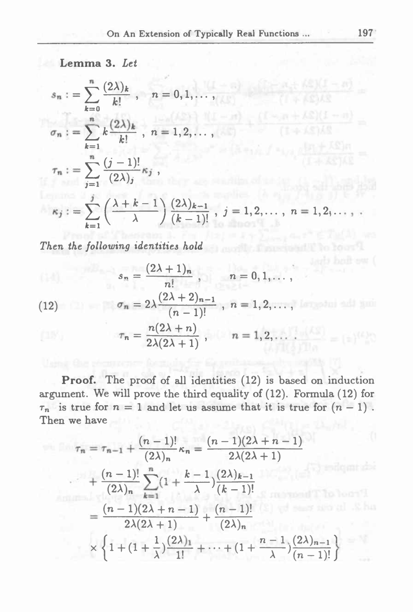**Lemma 3.** *Let*

Lemma 3. Let  
\n
$$
s_n := \sum_{k=0}^n \frac{(2\lambda)_k}{k!}, \quad n = 0, 1, ..., n
$$
\n
$$
\sigma_n := \sum_{k=1}^n k \frac{(2\lambda)_k}{k!}, \quad n = 1, 2, ..., n
$$
\n
$$
\tau_n := \sum_{j=1}^n \frac{(j-1)!}{(2\lambda)_j} \kappa_j,
$$
\n
$$
\kappa_j := \sum_{k=1}^j \left(\frac{\lambda + k - 1}{\lambda}\right) \frac{(2\lambda)_{k-1}}{(k-1)!}, \quad j = 1, 2, ..., n = 1, 2, ..., n
$$

*Then the following identities hold*

(12) 
$$
s_n = \frac{(2\lambda + 1)_n}{n!}, \qquad n = 0, 1, ...
$$

$$
\sigma_n = 2\lambda \frac{(2\lambda + 2)_{n-1}}{(n-1)!}, \quad n = 1, 2, ...
$$

$$
\tau_n = \frac{n(2\lambda + n)}{2\lambda(2\lambda + 1)}, \qquad n = 1, 2, ...
$$

**Proof.** The proof of all identities (12) is based on induction<br>ment. We will prove the third equality of (12). Formula (12) for<br>s true for  $n = 1$  and let us assume that it is true for  $(n - 1)$ .<br> $\tau_n = \tau_{n-1} + \frac{(n - 1)!}{(2\lambda)_$ **Proof.** The proof of all identities (12) is based on induction argument. We will prove the third equality of (12). Formula (12) for  $\tau_n$  is true for  $n = 1$  and let us assume that it is true for  $(n - 1)$ . Then we have  $\tau$ Then we have

$$
\tau_n = \tau_{n-1} + \frac{(n-1)!}{(2\lambda)_n} \kappa_n = \frac{(n-1)(2\lambda + n - 1)}{2\lambda(2\lambda + 1)}
$$
  
+ 
$$
\frac{(n-1)!}{(2\lambda)_n} \sum_{k=1}^n (1 + \frac{k-1}{\lambda}) \frac{(2\lambda)_{k-1}}{(k-1)!}
$$
  
= 
$$
\frac{(n-1)(2\lambda + n - 1)}{2\lambda(2\lambda + 1)} + \frac{(n-1)!}{(2\lambda)_n}
$$
  

$$
\times \left\{ 1 + (1 + \frac{1}{\lambda}) \frac{(2\lambda)_1}{1!} + \dots + (1 + \frac{n-1}{\lambda}) \frac{(2\lambda)_{n-1}}{(n-1)!} \right\}
$$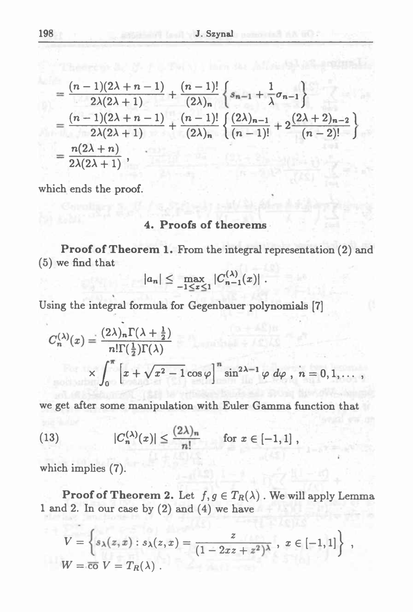$$
= \frac{(n-1)(2\lambda + n - 1)}{2\lambda(2\lambda + 1)} + \frac{(n-1)!}{(2\lambda)_n} \left\{ s_{n-1} + \frac{1}{\lambda} \sigma_{n-1} \right\}
$$
  
= 
$$
\frac{(n-1)(2\lambda + n - 1)}{2\lambda(2\lambda + 1)} + \frac{(n-1)!}{(2\lambda)_n} \left\{ \frac{(2\lambda)_{n-1}}{(n-1)!} + 2 \frac{(2\lambda + 2)_{n-2}}{(n-2)!} \right\}
$$
  
= 
$$
\frac{n(2\lambda + n)}{2\lambda(2\lambda + 1)},
$$

which ends the proof.

#### **4. Proofs of theorems**

Proof of Theorem 1. From the integral representation (2) and (5) we find that  $|a_n| \leq \max_{-1 \leq x \leq 1} |C_{n-1}^{(\lambda)}(x)| \;.$ 

$$
|a_n|\leq \max_{-1\leq x\leq 1}|C_{n-1}^{(\lambda)}(x)|
$$

Using the integral formula for Gegenbauer polynomials [7]

$$
C_n^{(\lambda)}(x) = \frac{(2\lambda)_n \Gamma(\lambda + \frac{1}{2})}{n! \Gamma(\frac{1}{2}) \Gamma(\lambda)}
$$
  
\$\times \int\_0^{\pi} \left[ x + \sqrt{x^2 - 1} \cos \varphi \right]^n \sin^{2\lambda - 1} \varphi \, d\varphi, \, n = 0, 1, ... ,

we get after some manipulation with Euler Gamma function that

(13) 
$$
|C_n^{(\lambda)}(x)| \leq \frac{(2\lambda)_n}{n!} \quad \text{for } x \in [-1,1],
$$

which implies (7).

**Proof** of **Theorem 2.** Let  $f, g \in T_R(\lambda)$ . We will apply Lemma <sup>1</sup> and 2. In our case by (2) and (4) we have

»

$$
V = \left\{ s_{\lambda}(z, x) : s_{\lambda}(z, x) = \frac{z}{(1 - 2xz + z^2)^{\lambda}}, x \in [-1, 1] \right\},
$$
  

$$
W = \overline{co} V = T_R(\lambda).
$$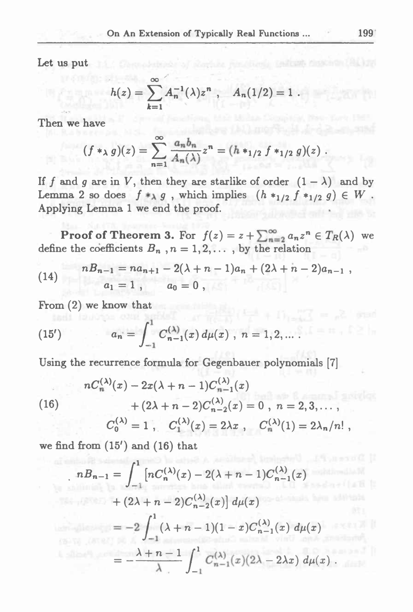Let us put

$$
h(z) = \sum_{k=1}^{\infty} A_n^{-1}(\lambda) z^n , \quad A_n(1/2) = 1 .
$$

Then we have

If 
$$
f
$$
 and  $g$  are in  $V$ , then they are starlike of order  $(1 - \lambda)$  and by

 $(f *_{\lambda} g)(z) = \sum_{n=1}^{\infty} \frac{a_n o_n}{A_n(\lambda)} z^n = (h *_{1/2} f *_{1/2} g)(z)$ .<br>If *f* and *g* are in *V*, then they are starlike of order  $(1 - \lambda)$  and by<br>Lemma 2 so does  $f *_{\lambda} g$ , which implies  $(h *_{1/2} f *_{1/2} g) \in W$ .<br>Applying Lemma 1 we Applying Lemma <sup>1</sup> we end the proof.  $(f *_{\lambda} g)(z) = \sum_{n=1}^{\infty} \frac{a_n b_n}{A_n(\lambda)} z^n = (h *_{1/2} f *_{1/2} g)(z)$ .<br>
and g are in V, then they are starlike of order  $(1 - \lambda)$  and by<br>
ma 2 so does  $f *_{\lambda} g$ , which implies  $(h *_{1/2} f *_{1/2} g) \in W$ .<br>
ying Lemma 1 we end the proof.<br>

define the coefficients  $B_n$ ,  $n = 1, 2, \ldots$ , by the relation

Proof of Theorem 3. For 
$$
f(z) = z + \sum_{n=2}^{\infty} a_n z^n \in T_R(\lambda)
$$
  
define the coefficients  $B_n$ ,  $n = 1, 2, ...$ , by the relation  

$$
nB_{n-1} = na_{n+1} - 2(\lambda + n - 1)a_n + (2\lambda + n - 2)a_{n-1}
$$

$$
a_1 = 1, \qquad a_0 = 0,
$$
From (2) we know that

From (2) we know that

From (2) we know that  
\n(15') 
$$
a_n = \int_{-1}^1 C_{n-1}^{(\lambda)}(x) d\mu(x), \quad n = 1, 2, ...
$$

Using the recurrence formula for Gegenbauer polynomials [7]

(16)  
\n
$$
nC_n^{(\lambda)}(x) - 2x(\lambda + n - 1)C_{n-1}^{(\lambda)}(x) + (2\lambda + n - 2)C_{n-2}^{(\lambda)}(x) = 0, \quad n = 2, 3, ... ,
$$
\n
$$
C_0^{(\lambda)} = 1, \quad C_1^{(\lambda)}(x) = 2\lambda x, \quad C_n^{(\lambda)}(1) = 2\lambda_n/n! ,
$$

we find from (15') and (16) that  
\n
$$
nB_{n-1} = \int_{-1}^{1} [nC_n^{(\lambda)}(x) - 2(\lambda + n - 1)C_{n-1}^{(\lambda)}(x) + (2\lambda + n - 2)C_{n-2}^{(\lambda)}(x)] d\mu(x)
$$
\n
$$
= -2 \int_{-1}^{1} (\lambda + n - 1)(1 - x)C_{n-1}^{(\lambda)}(x) d\mu(x)
$$
\n
$$
= -\frac{\lambda + n - 1}{\lambda} \int_{-1}^{1} C_{n-1}^{(\lambda)}(x)(2\lambda - 2\lambda x) d\mu(x).
$$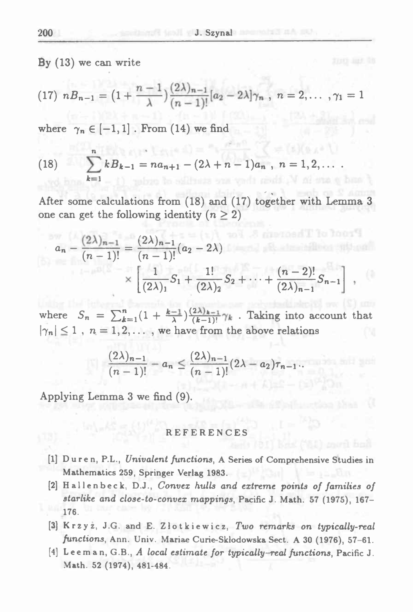By (13) we can write

(17) 
$$
nB_{n-1} = \left(1 + \frac{n-1}{\lambda}\right) \frac{(2\lambda)_{n-1}}{(n-1)!} [a_2 - 2\lambda] \gamma_n
$$
,  $n = 2, ..., \gamma_1 = 1$ 

where  $\gamma_n \in [-1,1]$ . From (14) we find

(18) 
$$
\sum_{k=1}^{n} k B_{k-1} = n a_{n+1} - (2\lambda + n - 1) a_n, \quad n = 1, 2, \ldots
$$

After some calculations from (18) and (17) together with Lemma 3  
one can get the following identity 
$$
(n \ge 2)
$$
  

$$
a_n - \frac{(2\lambda)_{n-1}}{(n-1)!} = \frac{(2\lambda)_{n-1}}{(n-1)!} (a_2 - 2\lambda)
$$

$$
\times \left[ \frac{1}{(2\lambda)_1} S_1 + \frac{1!}{(2\lambda)_2} S_2 + \dots + \frac{(n-2)!}{(2\lambda)_{n-1}} S_{n-1} \right],
$$

where  $S_n = \sum_{k=1}^n (1 + \frac{k-1}{\lambda}) \frac{(2\lambda)_{k-1}}{(k-1)!} \gamma_k$ . Taking into account that  $|\gamma_n| \leq 1$ ,  $n = 1, 2, ...$ , we have from the above relations  $|\gamma_n| \leq 1$ ,  $n = 1, 2, \ldots$ , we have from the above relations

$$
\frac{(2\lambda)_{n-1}}{(n-1)!} - a_n \leq \frac{(2\lambda)_{n-1}}{(n-1)!} (2\lambda - a_2) \tau_{n-1}.
$$

Applying Lemma <sup>3</sup> we find (9).

#### REFERENCES

- [1] Duren, P.L., *Univalent functions,* <sup>A</sup> Series of Comprehensive Studies in Mathematics 259, Springer Verlag 1983.
- [2] <sup>H</sup> alien beck, D.J., *Convex hulls and extreme points of families of starlike and close-to-convex mappings,* Pacific J. Math. <sup>57</sup> (1975), 167- 176.
- [3] Krzyz, J.G. and E. Zlotkiewicz, *Two remarks on typically-real functions,* Ann. Univ. Mariae Curie-Sklodowska Sect. <sup>A</sup> <sup>30</sup> (1976), 57-61.
- [4] Leeman, G.B., *<sup>A</sup> local estimate for typically-real functions,* Pacific J. Math. 52 (1974), 481-484.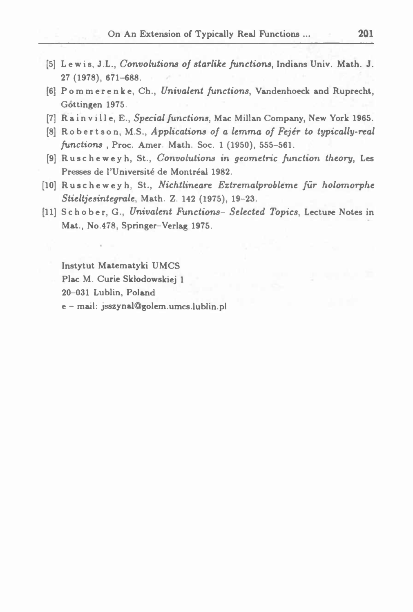- [5] Lewis, J.L., *Convolutions of starlike functions,* Indians Univ. Math. J. <sup>27</sup> (1978), 671-688.
- [6] Pommerenke, Ch., *Univalent functions,* Vandenhoeck and Ruprecht, Gottingen 1975.
- [7] Rainville, E., *Special functions*, Mac Millan Company, New York 1965.
- [8] Robertson, M.S., *Applications of <sup>a</sup> lemma of Fejér to typically-real functions ,* Proc. Amer. Math. Soc. <sup>1</sup> (1950), 555-561.
- [9] Ruscheweyh, St., *Convolutions in geometric function theory,* Les Presses de l'Université de Montréal 1982.
- [10] Rusch eweyh, St., *Nichtlineare Extremalprobleme für holomorphe Stieltjesintegrale,* Math. Z. <sup>142</sup> (1975), 19-23.
- [11] Schober, G., *Univalent Functions- Selected Topics,* Lecture Notes in Mat., No.478, Springer-Verlag 1975.

Instytut Matematyki UMCS Plac M. Curie Skłodowskiej <sup>1</sup> 20-031 Lublin, Poland e - mail: [jsszynal@golem.umcs.lublin.pl](mailto:jsszynal%40golem.umcs.lublin.pl)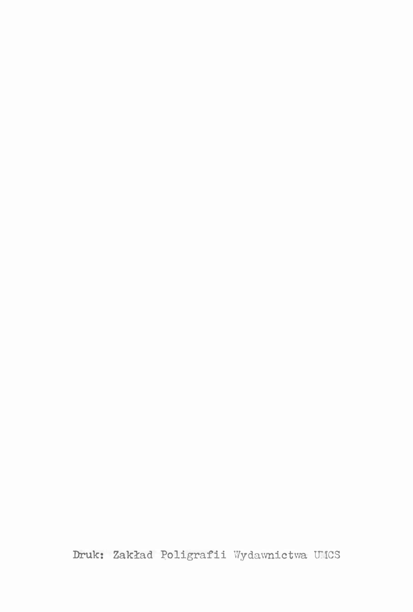Druk: Zakład Poligrafii Wydawnictwa UMCS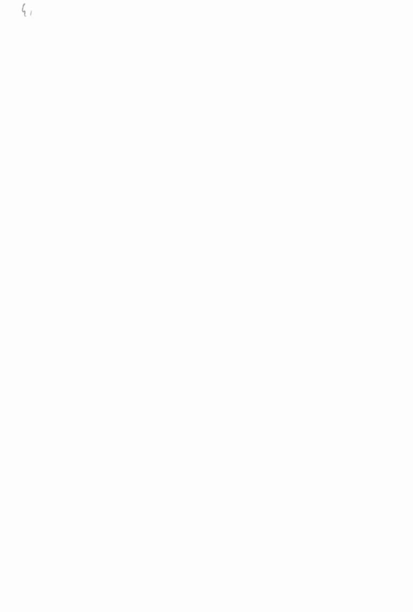$\mathcal{L}_l$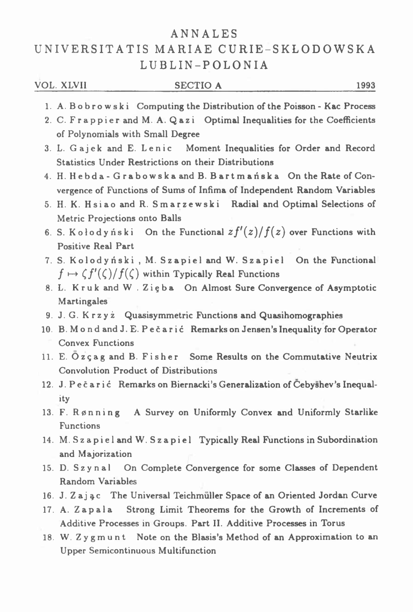### ANNALES

# UNIVERSITATIS MARIAE CURIE-SKLODOWSKA LURLIN-POLONIA

| <b>DO D D I II - I - O DO II I U</b>                                                                                                                                                   |      |
|----------------------------------------------------------------------------------------------------------------------------------------------------------------------------------------|------|
| VOL. XLVII<br><b>SECTIO A</b>                                                                                                                                                          | 1993 |
| 1. A. Bobrowski Computing the Distribution of the Poisson - Kac Process<br>2. C. Frappier and M. A. Qazi Optimal Inequalities for the Coefficients<br>of Polynomials with Small Degree |      |
| 3. L. Gajek and E. Lenic Moment Inequalities for Order and Record<br>Statistics Under Restrictions on their Distributions                                                              |      |
| 4. H. Hebda - Grabowska and B. Bartmanska On the Rate of Con-<br>vergence of Functions of Sums of Infima of Independent Random Variables                                               |      |
| 5. H. K. Hsiao and R. Smarzewski Radial and Optimal Selections of<br>Metric Projections onto Balls                                                                                     |      |
| 6. S. Kołodyński On the Functional $zf'(z)/f(z)$ over Functions with<br><b>Positive Real Part</b>                                                                                      |      |
| 7. S. Kolodyński, M. Szapiel and W. Szapiel On the Functional<br>$f \mapsto \zeta f'(\zeta)/f(\zeta)$ within Typically Real Functions                                                  |      |
| 8. L. Kruk and W. Zięba On Almost Sure Convergence of Asymptotic<br>Martingales                                                                                                        |      |
| 9. J. G. Krzyż Quasisymmetric Functions and Quasihomographies                                                                                                                          |      |
| 10. B. M ond and J. E. Pečarić Remarks on Jensen's Inequality for Operator<br><b>Convex Functions</b>                                                                                  |      |
| 11. E. Ozçag and B. Fisher Some Results on the Commutative Neutrix<br><b>Convolution Product of Distributions</b>                                                                      |      |
| 12. J. Pečarić Remarks on Biernacki's Generalization of Cebyshev's Inequal-<br>ity                                                                                                     |      |
| 13. F. Rønning<br>A Survey on Uniformly Convex and Uniformly Starlike<br><b>Functions</b>                                                                                              |      |
| 14. M. Szapiel and W. Szapiel Typically Real Functions in Subordination<br>and Majorization                                                                                            |      |
| 15. D. Szynal On Complete Convergence for some Classes of Dependent<br><b>Random Variables</b>                                                                                         |      |
| 16. J. Zając The Universal Teichmüller Space of an Oriented Jordan Curve                                                                                                               |      |
| Strong Limit Theorems for the Growth of Increments of<br>17. A. Zapala<br>Additive Processes in Groups. Part II. Additive Processes in Torus                                           |      |
| 18. W. Zygmunt Note on the Blasis's Method of an Approximation to an<br><b>Upper Semicontinuous Multifunction</b>                                                                      |      |
|                                                                                                                                                                                        |      |